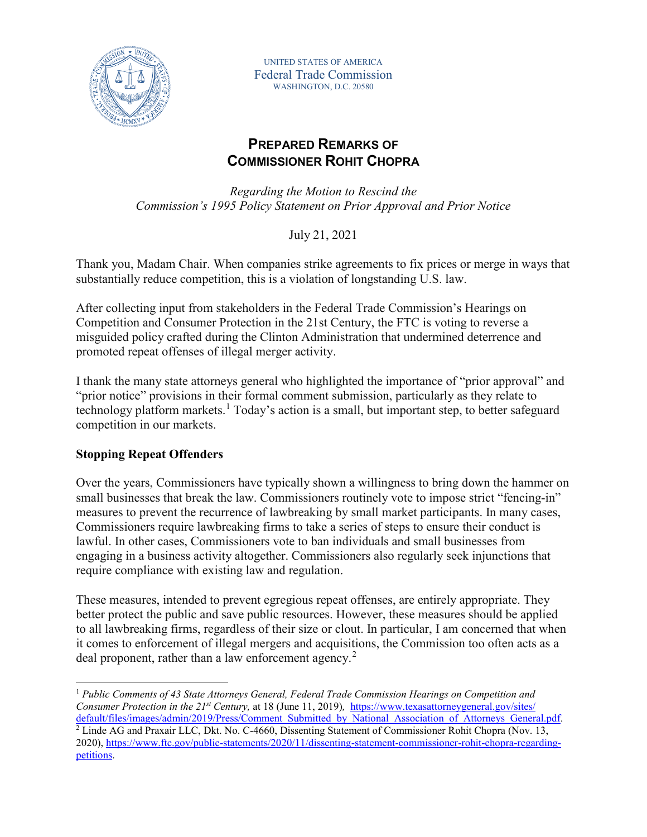

UNITED STATES OF AMERICA Federal Trade Commission WASHINGTON, D.C. 20580

# **PREPARED REMARKS OF COMMISSIONER ROHIT CHOPRA**

*Regarding the Motion to Rescind the Commission's 1995 Policy Statement on Prior Approval and Prior Notice* 

July 21, 2021

Thank you, Madam Chair. When companies strike agreements to fix prices or merge in ways that substantially reduce competition, this is a violation of longstanding U.S. law.

After collecting input from stakeholders in the Federal Trade Commission's Hearings on Competition and Consumer Protection in the 21st Century, the FTC is voting to reverse a misguided policy crafted during the Clinton Administration that undermined deterrence and promoted repeat offenses of illegal merger activity.

I thank the many state attorneys general who highlighted the importance of "prior approval" and "prior notice" provisions in their formal comment submission, particularly as they relate to technology platform markets.<sup>[1](#page-0-0)</sup> Today's action is a small, but important step, to better safeguard competition in our markets.

## **Stopping Repeat Offenders**

Over the years, Commissioners have typically shown a willingness to bring down the hammer on small businesses that break the law. Commissioners routinely vote to impose strict "fencing-in" measures to prevent the recurrence of lawbreaking by small market participants. In many cases, Commissioners require lawbreaking firms to take a series of steps to ensure their conduct is lawful. In other cases, Commissioners vote to ban individuals and small businesses from engaging in a business activity altogether. Commissioners also regularly seek injunctions that require compliance with existing law and regulation.

These measures, intended to prevent egregious repeat offenses, are entirely appropriate. They better protect the public and save public resources. However, these measures should be applied to all lawbreaking firms, regardless of their size or clout. In particular, I am concerned that when it comes to enforcement of illegal mergers and acquisitions, the Commission too often acts as a deal proponent, rather than a law enforcement agency.<sup>[2](#page-0-1)</sup>

<span id="page-0-1"></span><span id="page-0-0"></span> 1 *Public Comments of 43 State Attorneys General, Federal Trade Commission Hearings on Competition and Consumer Protection in the 21st Century,* at 18 (June 11, 2019)*,* [https://www.texasattorneygeneral.gov/sites/](https://www.texasattorneygeneral.gov/sites/%20default/files/images/admin/2019/Press/Comment_Submitted_by_National_Association_of_Attorneys_General.pdf)  [default/files/images/admin/2019/Press/Comment\\_Submitted\\_by\\_National\\_Association\\_of\\_Attorneys\\_General.pdf.](https://www.texasattorneygeneral.gov/sites/%20default/files/images/admin/2019/Press/Comment_Submitted_by_National_Association_of_Attorneys_General.pdf) <sup>2</sup> Linde AG and Praxair LLC, Dkt. No. C-4660, Dissenting Statement of Commissioner Rohit Chopra (Nov. 13, 2020), [https://www.ftc.gov/public-statements/2020/11/dissenting-statement-commissioner-rohit-chopra-regarding](https://www.ftc.gov/public-statements/2020/11/dissenting-statement-commissioner-rohit-chopra-regarding-petitions)[petitions.](https://www.ftc.gov/public-statements/2020/11/dissenting-statement-commissioner-rohit-chopra-regarding-petitions)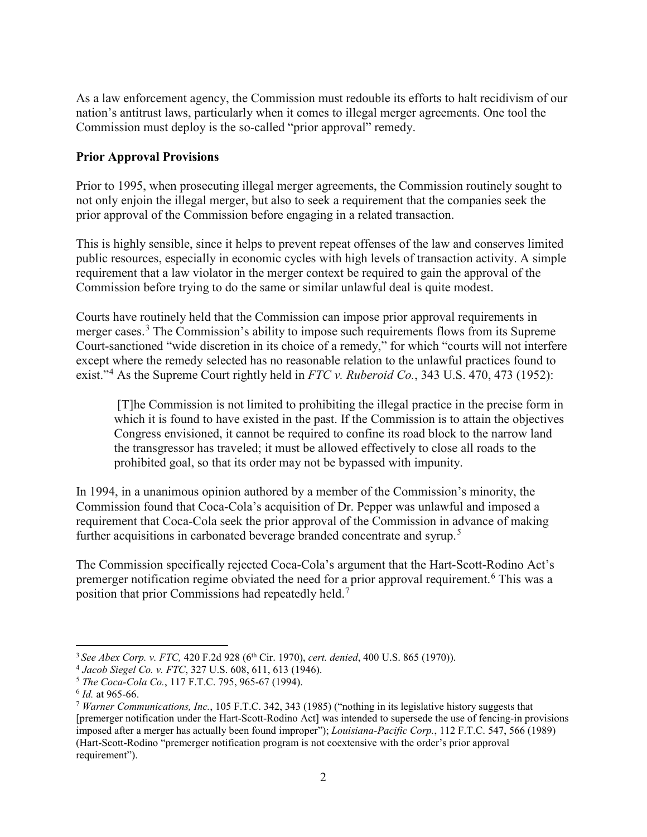As a law enforcement agency, the Commission must redouble its efforts to halt recidivism of our nation's antitrust laws, particularly when it comes to illegal merger agreements. One tool the Commission must deploy is the so-called "prior approval" remedy.

### **Prior Approval Provisions**

Prior to 1995, when prosecuting illegal merger agreements, the Commission routinely sought to not only enjoin the illegal merger, but also to seek a requirement that the companies seek the prior approval of the Commission before engaging in a related transaction.

This is highly sensible, since it helps to prevent repeat offenses of the law and conserves limited public resources, especially in economic cycles with high levels of transaction activity. A simple requirement that a law violator in the merger context be required to gain the approval of the Commission before trying to do the same or similar unlawful deal is quite modest.

Courts have routinely held that the Commission can impose prior approval requirements in merger cases.<sup>[3](#page-1-0)</sup> The Commission's ability to impose such requirements flows from its Supreme Court-sanctioned "wide discretion in its choice of a remedy," for which "courts will not interfere except where the remedy selected has no reasonable relation to the unlawful practices found to exist."[4](#page-1-1) As the Supreme Court rightly held in *FTC v. Ruberoid Co.*, 343 U.S. 470, 473 (1952):

[T]he Commission is not limited to prohibiting the illegal practice in the precise form in which it is found to have existed in the past. If the Commission is to attain the objectives Congress envisioned, it cannot be required to confine its road block to the narrow land the transgressor has traveled; it must be allowed effectively to close all roads to the prohibited goal, so that its order may not be bypassed with impunity.

In 1994, in a unanimous opinion authored by a member of the Commission's minority, the Commission found that Coca-Cola's acquisition of Dr. Pepper was unlawful and imposed a requirement that Coca-Cola seek the prior approval of the Commission in advance of making further acquisitions in carbonated beverage branded concentrate and syrup.<sup>[5](#page-1-2)</sup>

The Commission specifically rejected Coca-Cola's argument that the Hart-Scott-Rodino Act's premerger notification regime obviated the need for a prior approval requirement.<sup>[6](#page-1-3)</sup> This was a position that prior Commissions had repeatedly held.<sup>[7](#page-1-4)</sup>

<span id="page-1-0"></span> <sup>3</sup> *See Abex Corp. v. FTC,* 420 F.2d 928 (6th Cir. 1970), *cert. denied*, 400 U.S. 865 (1970)).

<span id="page-1-1"></span><sup>4</sup> *Jacob Siegel Co. v. FTC*, 327 U.S. 608, 611, 613 (1946).

<span id="page-1-2"></span><sup>5</sup> *The Coca-Cola Co.*, 117 F.T.C. 795, 965-67 (1994).

<span id="page-1-3"></span>

<span id="page-1-4"></span><sup>&</sup>lt;sup>7</sup> *Warner Communications, Inc.*, 105 F.T.C. 342, 343 (1985) ("nothing in its legislative history suggests that [premerger notification under the Hart-Scott-Rodino Act] was intended to supersede the use of fencing-in provisions imposed after a merger has actually been found improper"); *Louisiana-Pacific Corp.*, 112 F.T.C. 547, 566 (1989) (Hart-Scott-Rodino "premerger notification program is not coextensive with the order's prior approval requirement").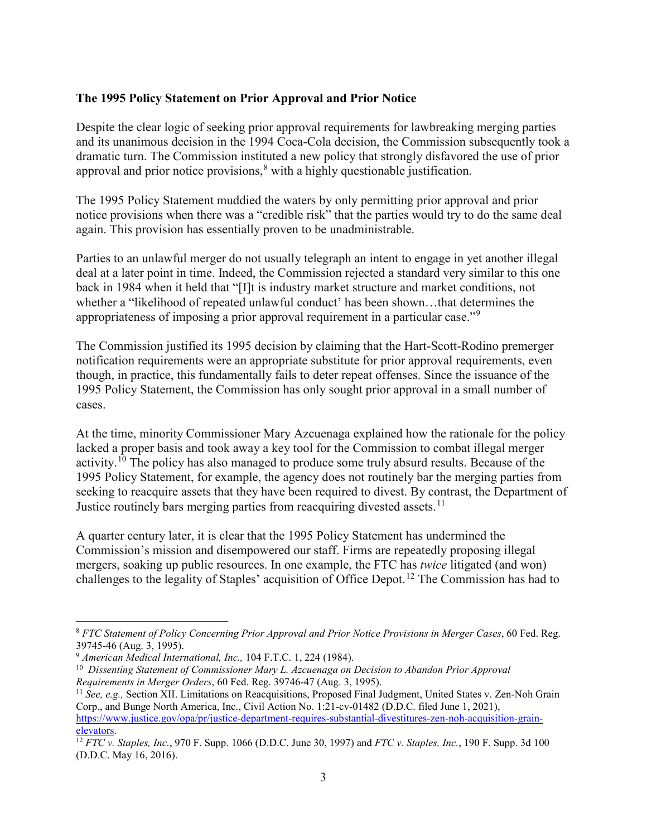#### **The 1995 Policy Statement on Prior Approval and Prior Notice**

Despite the clear logic of seeking prior approval requirements for lawbreaking merging parties and its unanimous decision in the 1994 Coca-Cola decision, the Commission subsequently took a dramatic turn. The Commission instituted a new policy that strongly disfavored the use of prior approval and prior notice provisions,<sup>[8](#page-2-0)</sup> with a highly questionable justification.

The 1995 Policy Statement muddied the waters by only permitting prior approval and prior notice provisions when there was a "credible risk" that the parties would try to do the same deal again. This provision has essentially proven to be unadministrable.

Parties to an unlawful merger do not usually telegraph an intent to engage in yet another illegal deal at a later point in time. Indeed, the Commission rejected a standard very similar to this one back in 1984 when it held that "[I]t is industry market structure and market conditions, not whether a "likelihood of repeated unlawful conduct' has been shown…that determines the appropriateness of imposing a prior approval requirement in a particular case."[9](#page-2-1)

The Commission justified its 1995 decision by claiming that the Hart-Scott-Rodino premerger notification requirements were an appropriate substitute for prior approval requirements, even though, in practice, this fundamentally fails to deter repeat offenses. Since the issuance of the 1995 Policy Statement, the Commission has only sought prior approval in a small number of cases.

At the time, minority Commissioner Mary Azcuenaga explained how the rationale for the policy lacked a proper basis and took away a key tool for the Commission to combat illegal merger activity.<sup>[10](#page-2-2)</sup> The policy has also managed to produce some truly absurd results. Because of the 1995 Policy Statement, for example, the agency does not routinely bar the merging parties from seeking to reacquire assets that they have been required to divest. By contrast, the Department of Justice routinely bars merging parties from reacquiring divested assets.<sup>11</sup>

A quarter century later, it is clear that the 1995 Policy Statement has undermined the Commission's mission and disempowered our staff. Firms are repeatedly proposing illegal mergers, soaking up public resources. In one example, the FTC has *twice* litigated (and won) challenges to the legality of Staples' acquisition of Office Depot.[12](#page-2-4) The Commission has had to

<span id="page-2-0"></span> <sup>8</sup> *FTC Statement of Policy Concerning Prior Approval and Prior Notice Provisions in Merger Cases*, 60 Fed. Reg.

<span id="page-2-2"></span><span id="page-2-1"></span>

<sup>39745-46 (</sup>Aug. 3, 1995).<br><sup>9</sup> *American Medical International, Inc.,* 104 F.T.C. 1, 224 (1984).<br><sup>10</sup> *Dissenting Statement of Commissioner Mary L. Azcuenaga on Decision to Abandon Prior Approval*<br>*Requirements in Merger Ord* 

<span id="page-2-3"></span><sup>&</sup>lt;sup>11</sup> *See, e.g., Section XII. Limitations on Reacquisitions, Proposed Final Judgment, United States v. Zen-Noh Grain* Corp., and Bunge North America, Inc., Civil Action No. 1:21-cv-01482 (D.D.C. filed June 1, 2021), [https://www.justice.gov/opa/pr/justice-department-requires-substantial-divestitures-zen-noh-acquisition-grain](https://www.justice.gov/opa/pr/justice-department-requires-substantial-divestitures-zen-noh-acquisition-grain-elevators)[elevators.](https://www.justice.gov/opa/pr/justice-department-requires-substantial-divestitures-zen-noh-acquisition-grain-elevators) 12 *FTC v. Staples, Inc.*, 970 F. Supp. 1066 (D.D.C. June 30, 1997) and *FTC v. Staples, Inc.*, 190 F. Supp. 3d 100

<span id="page-2-4"></span><sup>(</sup>D.D.C. May 16, 2016).